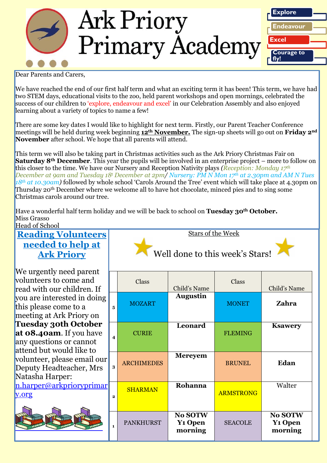

Dear Parents and Carers,

We have reached the end of our first half term and what an exciting term it has been! This term, we have had two STEM days, educational visits to the zoo, held parent workshops and open mornings, celebrated the success of our children to 'explore, endeavour and excel' in our Celebration Assembly and also enjoyed learning about a variety of topics to name a few!

There are some key dates I would like to highlight for next term. Firstly, our Parent Teacher Conference meetings will be held during week beginning **12th November.** The sign-up sheets will go out on **Friday 2nd November** after school. We hope that all parents will attend.

This term we will also be taking part in Christmas activities such as the Ark Priory Christmas Fair on **Saturday 8<sup>th</sup> December**. This year the pupils will be involved in an enterprise project – more to follow on this closer to the time. We have our Nursery and Reception Nativity plays *(Reception: Monday 17th December at 9am and Tuesday 18<sup>t</sup> December at 2pm/ Nursery: PM N Mon 17th at 2.30pm and AM N Tues 18th at 10.30am)* followed by whole school 'Carols Around the Tree' event which will take place at 4.30pm on Thursday 20th December where we welcome all to have hot chocolate, minced pies and to sing some Christmas carols around our tree.

Have a wonderful half term holiday and we will be back to school on **Tuesday 30th October.** Miss Grasso

### Head of School **Reading Volunteers needed to help at Ark Priory**

We urgently need parent volunteers to come and read with our children. If you are interested in doing this please come to a meeting at Ark Priory on **Tuesday 30th October at 08.40am**. If you have any questions or cannot attend but would like to volunteer, please email our Deputy Headteacher, Mrs Natasha Harper:  $n.harper@arkprioryprima$ [y.org](mailto:n.harper@arkprioryprimary.org)

|                | Well done to this week's Stars! |                   |                                                        |                  |                                                 |
|----------------|---------------------------------|-------------------|--------------------------------------------------------|------------------|-------------------------------------------------|
|                |                                 | Class             | Child's Name                                           | Class            | Child's Name                                    |
| $\overline{5}$ | 5                               | <b>MOZART</b>     | <b>Augustin</b>                                        | <b>MONET</b>     | Zahra                                           |
|                | $\overline{\mathbf{4}}$         | <b>CURIE</b>      | Leonard                                                | <b>FLEMING</b>   | <b>Ksawery</b>                                  |
| $ \mathbf{r} $ | 3                               | <b>ARCHIMEDES</b> | <b>Mereyem</b>                                         | <b>BRUNEL</b>    | Edan                                            |
| $\mathbf{r}$   | $\overline{\mathbf{2}}$         | <b>SHARMAN</b>    | Rohanna                                                | <b>ARMSTRONG</b> | Walter                                          |
|                | $\mathbf{1}$                    | <b>PANKHURST</b>  | <b>No SOTW</b><br><b>Y<sub>1</sub></b> Open<br>morning | <b>SEACOLE</b>   | No SOTW<br><b>Y<sub>1</sub></b> Open<br>morning |

Stars of the Week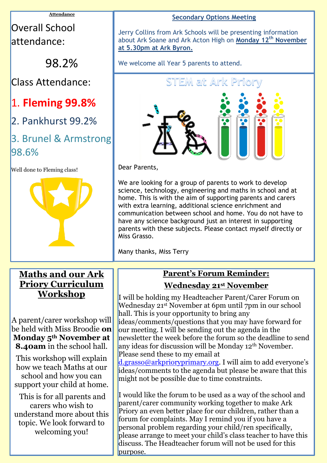#### **Attendance**

# Overall School attendance:

98.2%

Class Attendance:

# 1. **Fleming 99.8%**

2. Pankhurst 99.2%

## 3. Brunel & Armstrong 98.6%

Well done to Fleming class!



### **Maths and our Ark Priory Curriculum Workshop**

A parent/carer workshop will be held with Miss Broodie **on Monday 5th November at 8.40am** in the school hall.

This workshop will explain how we teach Maths at our school and how you can support your child at home.

This is for all parents and carers who wish to understand more about this topic. We look forward to welcoming you!

### **Secondary Options Meeting**

Jerry Collins from Ark Schools will be presenting information about Ark Soane and Ark Acton High on **Monday 12th November at 5.30pm at Ark Byron.**

We welcome all Year 5 parents to attend.



Dear Parents,

We are looking for a group of parents to work to develop science, technology, engineering and maths in school and at home. This is with the aim of supporting parents and carers with extra learning, additional science enrichment and communication between school and home. You do not have to have any science background just an interest in supporting parents with these subjects. Please contact myself directly or Miss Grasso.

Many thanks, Miss Terry

### **Parent's Forum Reminder: Wednesday 21st November**

I will be holding my Headteacher Parent/Carer Forum on Wednesday 21st November at 6pm until 7pm in our school hall. This is your opportunity to bring any ideas/comments/questions that you may have forward for our meeting. I will be sending out the agenda in the newsletter the week before the forum so the deadline to send any ideas for discussion will be Monday 12th November. Please send these to my email at

[d.grasso@arkprioryprimary.org](mailto:d.grasso@arkprioryprimary.org). I will aim to add everyone's ideas/comments to the agenda but please be aware that this might not be possible due to time constraints.

I would like the forum to be used as a way of the school and parent/carer community working together to make Ark Priory an even better place for our children, rather than a forum for complaints. May I remind you if you have a personal problem regarding your child/ren specifically, please arrange to meet your child's class teacher to have this discuss. The Headteacher forum will not be used for this purpose.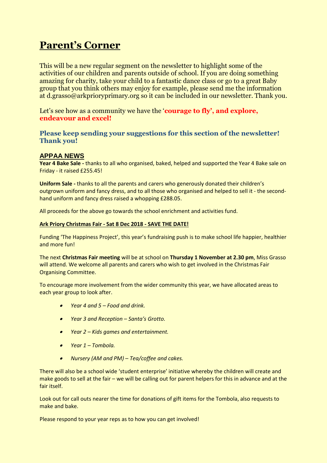## **Parent's Corner**

This will be a new regular segment on the newsletter to highlight some of the activities of our children and parents outside of school. If you are doing something amazing for charity, take your child to a fantastic dance class or go to a great Baby group that you think others may enjoy for example, please send me the information at d.grasso@arkprioryprimary.org so it can be included in our newsletter. Thank you.

Let's see how as a community we have the '**courage to fly'**, and explore, **endeavour and excel!**

#### **Please keep sending your suggestions for this section of the newsletter! Thank you!**

### **APPAA NEWS**

**Year 4 Bake Sale -** thanks to all who organised, baked, helped and supported the Year 4 Bake sale on Friday - it raised £255.45!

**Uniform Sale -** thanks to all the parents and carers who generously donated their children's outgrown uniform and fancy dress, and to all those who organised and helped to sell it - the secondhand uniform and fancy dress raised a whopping £288.05.

All proceeds for the above go towards the school enrichment and activities fund.

#### **Ark Priory Christmas Fair - Sat 8 Dec 2018 - SAVE THE DATE!**

Funding 'The Happiness Project', this year's fundraising push is to make school life happier, healthier and more fun!

The next **Christmas Fair meeting** will be at school on **Thursday 1 November at 2.30 pm**, Miss Grasso will attend. We welcome all parents and carers who wish to get involved in the Christmas Fair Organising Committee.

To encourage more involvement from the wider community this year, we have allocated areas to each year group to look after.

- *Year 4 and 5 – Food and drink.*
- *Year 3 and Reception – Santa's Grotto.*
- *Year 2 – Kids games and entertainment.*
- *Year 1 – Tombola.*
- *Nursery (AM and PM) – Tea/coffee and cakes.*

There will also be a school wide 'student enterprise' initiative whereby the children will create and make goods to sell at the fair – we will be calling out for parent helpers for this in advance and at the fair itself.

Look out for call outs nearer the time for donations of gift items for the Tombola, also requests to make and bake.

Please respond to your year reps as to how you can get involved!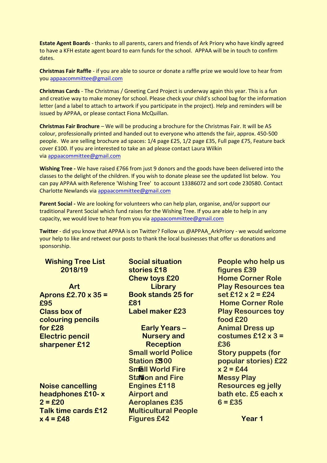**Estate Agent Boards** - thanks to all parents, carers and friends of Ark Priory who have kindly agreed to have a KFH estate agent board to earn funds for the school. APPAA will be in touch to confirm dates.

**Christmas Fair Raffle** - if you are able to source or donate a raffle prize we would love to hear from you [appaacommittee@gmail.com](mailto:appaacommittee@gmail.com)

**Christmas Cards** - The Christmas / Greeting Card Project is underway again this year. This is a fun and creative way to make money for school. Please check your child's school bag for the information letter (and a label to attach to artwork if you participate in the project). Help and reminders will be issued by APPAA, or please contact Fiona McQuillan.

**Christmas Fair Brochure** – We will be producing a brochure for the Christmas Fair. It will be A5 colour, professionally printed and handed out to everyone who attends the fair, approx. 450-500 people. We are selling brochure ad spaces: 1/4 page £25, 1/2 page £35, Full page £75, Feature back cover £100. If you are interested to take an ad please contact Laura Wilkin via [appaacommittee@gmail.com](mailto:appaacommittee@gmail.com)

**Wishing Tree -** We have raised £766 from just 9 donors and the goods have been delivered into the classes to the delight of the children. If you wish to donate please see the updated list below. You can pay APPAA with Reference 'Wishing Tree' to account 13386072 and sort code 230580. Contact Charlotte Newlands via [appaacommittee@gmail.com](mailto:appaacommittee@gmail.com)

**Parent Social -** We are looking for volunteers who can help plan, organise, and/or support our traditional Parent Social which fund raises for the Wishing Tree. If you are able to help in any capacity, we would love to hear from you via [appaacommittee@gmail.com](mailto:appaacommittee@gmail.com)

**Twitter** - did you know that APPAA is on Twitter? Follow us @APPAA\_ArkPriory - we would welcome your help to like and retweet our posts to thank the local businesses that offer us donations and sponsorship.

| <b>Wishing Tree List</b>   | <b>Social situation</b>     | People who help us        |
|----------------------------|-----------------------------|---------------------------|
| 2018/19                    | stories £18                 | figures £39               |
|                            | <b>Chew toys £20</b>        | <b>Home Corner Role</b>   |
| <b>Art</b>                 | Library                     | <b>Play Resources tea</b> |
| Aprons £2.70 $\times$ 35 = | <b>Book stands 25 for</b>   | set £12 x 2 = £24         |
| £95                        | £81                         | <b>Home Corner Role</b>   |
| <b>Class box of</b>        | <b>Label maker £23</b>      | <b>Play Resources toy</b> |
| colouring pencils          |                             | food £20                  |
| for £28                    | <b>Early Years -</b>        | <b>Animal Dress up</b>    |
| <b>Electric pencil</b>     | <b>Nursery and</b>          | costumes £12 $\times$ 3 = |
| sharpener £12              | <b>Reception</b>            | £36                       |
|                            | <b>Small world Police</b>   | <b>Story puppets (for</b> |
|                            | <b>Station £300</b>         | popular stories) £22      |
|                            | <b>Small World Fire</b>     | $x = 2 = 44$              |
|                            | <b>Station and Fire</b>     | <b>Messy Play</b>         |
| <b>Noise cancelling</b>    | <b>Engines £118</b>         | <b>Resources eg jelly</b> |
| headphones £10-x           | <b>Airport and</b>          | bath etc. £5 each x       |
| $2 = £20$                  | <b>Aeroplanes £35</b>       | $6 = £35$                 |
| Talk time cards £12        | <b>Multicultural People</b> |                           |
| $x = 48$                   | <b>Figures £42</b>          | Year 1                    |
|                            |                             |                           |